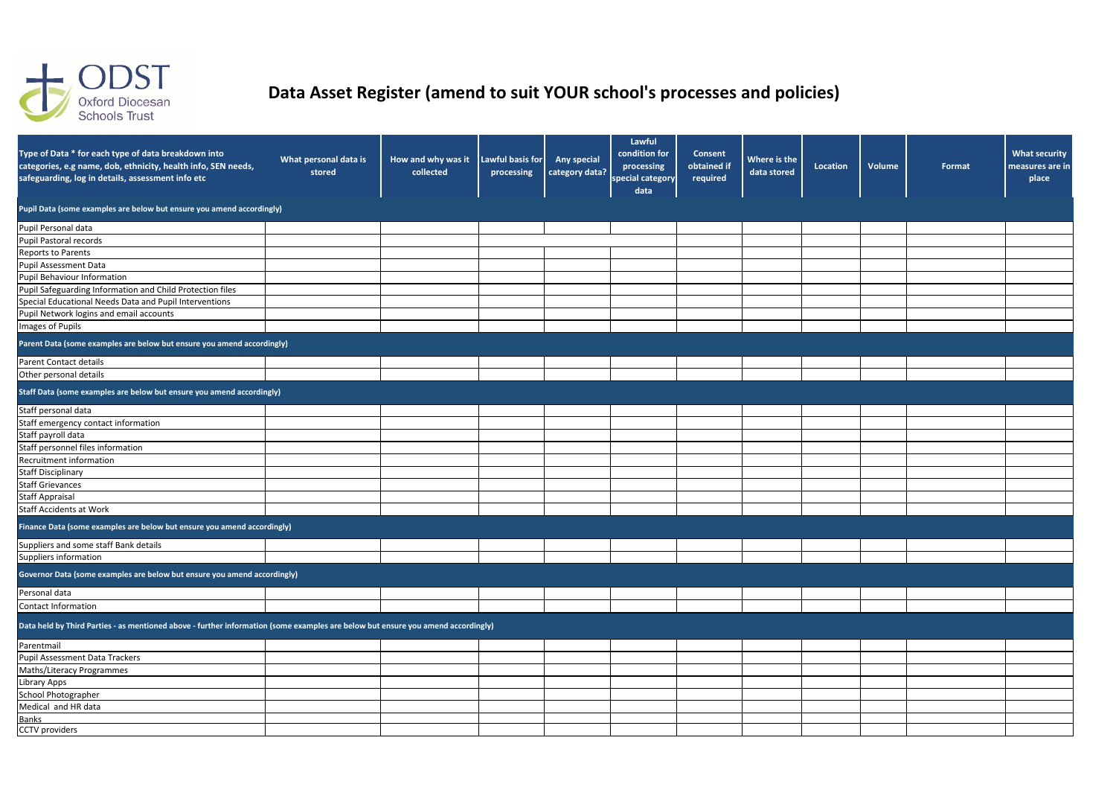| Type of Data * for each type of data breakdown into<br>categories, e.g name, dob, ethnicity, health info, SEN needs,<br>safeguarding, log in details, assessment info etc | What personal data is<br>stored | How and why was it Lawful basis for<br>collected | processing | <b>Any special</b><br>category data? | Lawful<br>condition for<br>processing<br>special category<br>data | <b>Consent</b><br>obtained if<br>required | Where is the<br>data stored | Location | Volume | Format | <b>What security</b><br>measures are in<br>place |
|---------------------------------------------------------------------------------------------------------------------------------------------------------------------------|---------------------------------|--------------------------------------------------|------------|--------------------------------------|-------------------------------------------------------------------|-------------------------------------------|-----------------------------|----------|--------|--------|--------------------------------------------------|
| Pupil Data (some examples are below but ensure you amend accordingly)                                                                                                     |                                 |                                                  |            |                                      |                                                                   |                                           |                             |          |        |        |                                                  |
| Pupil Personal data                                                                                                                                                       |                                 |                                                  |            |                                      |                                                                   |                                           |                             |          |        |        |                                                  |
| Pupil Pastoral records                                                                                                                                                    |                                 |                                                  |            |                                      |                                                                   |                                           |                             |          |        |        |                                                  |
| <b>Reports to Parents</b>                                                                                                                                                 |                                 |                                                  |            |                                      |                                                                   |                                           |                             |          |        |        |                                                  |
| Pupil Assessment Data                                                                                                                                                     |                                 |                                                  |            |                                      |                                                                   |                                           |                             |          |        |        |                                                  |
| Pupil Behaviour Information                                                                                                                                               |                                 |                                                  |            |                                      |                                                                   |                                           |                             |          |        |        |                                                  |
| Pupil Safeguarding Information and Child Protection files                                                                                                                 |                                 |                                                  |            |                                      |                                                                   |                                           |                             |          |        |        |                                                  |
| Special Educational Needs Data and Pupil Interventions                                                                                                                    |                                 |                                                  |            |                                      |                                                                   |                                           |                             |          |        |        |                                                  |
| Pupil Network logins and email accounts                                                                                                                                   |                                 |                                                  |            |                                      |                                                                   |                                           |                             |          |        |        |                                                  |
| Images of Pupils                                                                                                                                                          |                                 |                                                  |            |                                      |                                                                   |                                           |                             |          |        |        |                                                  |
| Parent Data (some examples are below but ensure you amend accordingly)                                                                                                    |                                 |                                                  |            |                                      |                                                                   |                                           |                             |          |        |        |                                                  |
| Parent Contact details                                                                                                                                                    |                                 |                                                  |            |                                      |                                                                   |                                           |                             |          |        |        |                                                  |
| Other personal details                                                                                                                                                    |                                 |                                                  |            |                                      |                                                                   |                                           |                             |          |        |        |                                                  |
| Staff Data (some examples are below but ensure you amend accordingly)                                                                                                     |                                 |                                                  |            |                                      |                                                                   |                                           |                             |          |        |        |                                                  |
| Staff personal data                                                                                                                                                       |                                 |                                                  |            |                                      |                                                                   |                                           |                             |          |        |        |                                                  |
| Staff emergency contact information                                                                                                                                       |                                 |                                                  |            |                                      |                                                                   |                                           |                             |          |        |        |                                                  |
| Staff payroll data                                                                                                                                                        |                                 |                                                  |            |                                      |                                                                   |                                           |                             |          |        |        |                                                  |
| Staff personnel files information                                                                                                                                         |                                 |                                                  |            |                                      |                                                                   |                                           |                             |          |        |        |                                                  |
| Recruitment information                                                                                                                                                   |                                 |                                                  |            |                                      |                                                                   |                                           |                             |          |        |        |                                                  |
| <b>Staff Disciplinary</b>                                                                                                                                                 |                                 |                                                  |            |                                      |                                                                   |                                           |                             |          |        |        |                                                  |
| <b>Staff Grievances</b>                                                                                                                                                   |                                 |                                                  |            |                                      |                                                                   |                                           |                             |          |        |        |                                                  |
| <b>Staff Appraisal</b>                                                                                                                                                    |                                 |                                                  |            |                                      |                                                                   |                                           |                             |          |        |        |                                                  |
| <b>Staff Accidents at Work</b>                                                                                                                                            |                                 |                                                  |            |                                      |                                                                   |                                           |                             |          |        |        |                                                  |
| Finance Data (some examples are below but ensure you amend accordingly)                                                                                                   |                                 |                                                  |            |                                      |                                                                   |                                           |                             |          |        |        |                                                  |
| Suppliers and some staff Bank details                                                                                                                                     |                                 |                                                  |            |                                      |                                                                   |                                           |                             |          |        |        |                                                  |
| Suppliers information                                                                                                                                                     |                                 |                                                  |            |                                      |                                                                   |                                           |                             |          |        |        |                                                  |
| Governor Data (some examples are below but ensure you amend accordingly)                                                                                                  |                                 |                                                  |            |                                      |                                                                   |                                           |                             |          |        |        |                                                  |
| Personal data                                                                                                                                                             |                                 |                                                  |            |                                      |                                                                   |                                           |                             |          |        |        |                                                  |
| Contact Information                                                                                                                                                       |                                 |                                                  |            |                                      |                                                                   |                                           |                             |          |        |        |                                                  |
| Data held by Third Parties - as mentioned above - further information (some examples are below but ensure you amend accordingly)                                          |                                 |                                                  |            |                                      |                                                                   |                                           |                             |          |        |        |                                                  |
| Parentmail                                                                                                                                                                |                                 |                                                  |            |                                      |                                                                   |                                           |                             |          |        |        |                                                  |
| <b>Pupil Assessment Data Trackers</b>                                                                                                                                     |                                 |                                                  |            |                                      |                                                                   |                                           |                             |          |        |        |                                                  |
| Maths/Literacy Programmes                                                                                                                                                 |                                 |                                                  |            |                                      |                                                                   |                                           |                             |          |        |        |                                                  |
| Library Apps                                                                                                                                                              |                                 |                                                  |            |                                      |                                                                   |                                           |                             |          |        |        |                                                  |
| School Photographer                                                                                                                                                       |                                 |                                                  |            |                                      |                                                                   |                                           |                             |          |        |        |                                                  |
| Medical and HR data                                                                                                                                                       |                                 |                                                  |            |                                      |                                                                   |                                           |                             |          |        |        |                                                  |
| <b>Banks</b>                                                                                                                                                              |                                 |                                                  |            |                                      |                                                                   |                                           |                             |          |        |        |                                                  |
| <b>CCTV</b> providers                                                                                                                                                     |                                 |                                                  |            |                                      |                                                                   |                                           |                             |          |        |        |                                                  |



## **Data Asset Register (amend to suit YOUR school's processes and policies)**